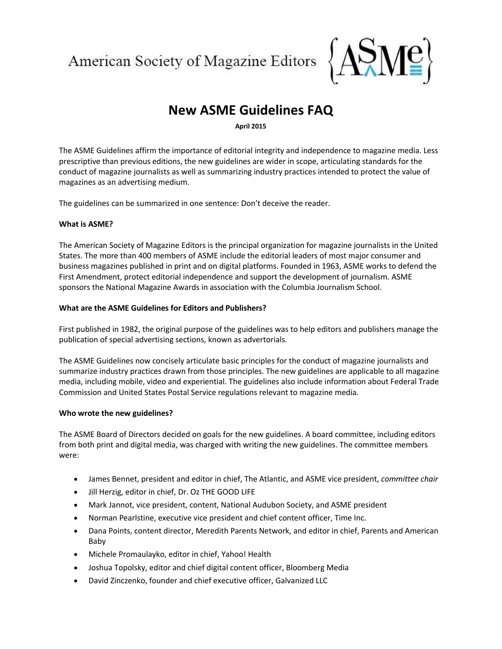American Society of Magazine Editors



# **New ASME Guidelines FAQ**

**April 2015**

The ASME Guidelines affirm the importance of editorial integrity and independence to magazine media. Less prescriptive than previous editions, the new guidelines are wider in scope, articulating standards for the conduct of magazine journalists as well as summarizing industry practices intended to protect the value of magazines as an advertising medium.

The guidelines can be summarized in one sentence: Don't deceive the reader.

## **What is ASME?**

The American Society of Magazine Editors is the principal organization for magazine journalists in the United States. The more than 400 members of ASME include the editorial leaders of most major consumer and business magazines published in print and on digital platforms. Founded in 1963, ASME works to defend the First Amendment, protect editorial independence and support the development of journalism. ASME sponsors the National Magazine Awards in association with the Columbia Journalism School.

## **What are the ASME Guidelines for Editors and Publishers?**

First published in 1982, the original purpose of the guidelines was to help editors and publishers manage the publication of special advertising sections, known as advertorials.

The ASME Guidelines now concisely articulate basic principles for the conduct of magazine journalists and summarize industry practices drawn from those principles. The new guidelines are applicable to all magazine media, including mobile, video and experiential. The guidelines also include information about Federal Trade Commission and United States Postal Service regulations relevant to magazine media.

#### **Who wrote the new guidelines?**

The ASME Board of Directors decided on goals for the new guidelines. A board committee, including editors from both print and digital media, was charged with writing the new guidelines. The committee members were:

- James Bennet, president and editor in chief, The Atlantic, and ASME vice president, *committee chair*
- $\bullet$  Jill Herzig, editor in chief, Dr. Oz THE GOOD LIFE
- Mark Jannot, vice president, content, National Audubon Society, and ASME president
- Norman Pearlstine, executive vice president and chief content officer, Time Inc.
- Dana Points, content director, Meredith Parents Network, and editor in chief, Parents and American Baby
- Michele Promaulayko, editor in chief, Yahoo! Health
- Joshua Topolsky, editor and chief digital content officer, Bloomberg Media
- David Zinczenko, founder and chief executive officer, Galvanized LLC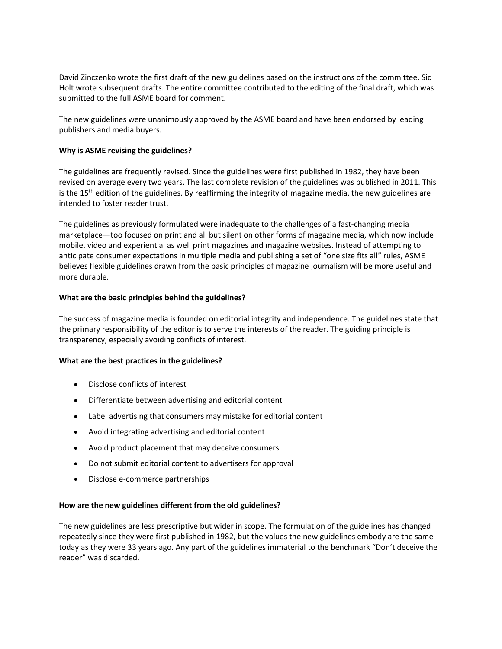David Zinczenko wrote the first draft of the new guidelines based on the instructions of the committee. Sid Holt wrote subsequent drafts. The entire committee contributed to the editing of the final draft, which was submitted to the full ASME board for comment.

The new guidelines were unanimously approved by the ASME board and have been endorsed by leading publishers and media buyers.

## **Why is ASME revising the guidelines?**

The guidelines are frequently revised. Since the guidelines were first published in 1982, they have been revised on average every two years. The last complete revision of the guidelines was published in 2011. This is the  $15<sup>th</sup>$  edition of the guidelines. By reaffirming the integrity of magazine media, the new guidelines are intended to foster reader trust.

The guidelines as previously formulated were inadequate to the challenges of a fast-changing media marketplace—too focused on print and all but silent on other forms of magazine media, which now include mobile, video and experiential as well print magazines and magazine websites. Instead of attempting to anticipate consumer expectations in multiple media and publishing a set of "one size fits all" rules, ASME believes flexible guidelines drawn from the basic principles of magazine journalism will be more useful and more durable.

## **What are the basic principles behind the guidelines?**

The success of magazine media is founded on editorial integrity and independence. The guidelines state that the primary responsibility of the editor is to serve the interests of the reader. The guiding principle is transparency, especially avoiding conflicts of interest.

#### **What are the best practices in the guidelines?**

- Disclose conflicts of interest
- Differentiate between advertising and editorial content
- Label advertising that consumers may mistake for editorial content
- Avoid integrating advertising and editorial content
- Avoid product placement that may deceive consumers
- Do not submit editorial content to advertisers for approval
- Disclose e-commerce partnerships

#### **How are the new guidelines different from the old guidelines?**

The new guidelines are less prescriptive but wider in scope. The formulation of the guidelines has changed repeatedly since they were first published in 1982, but the values the new guidelines embody are the same today as they were 33 years ago. Any part of the guidelines immaterial to the benchmark "Don't deceive the reader" was discarded.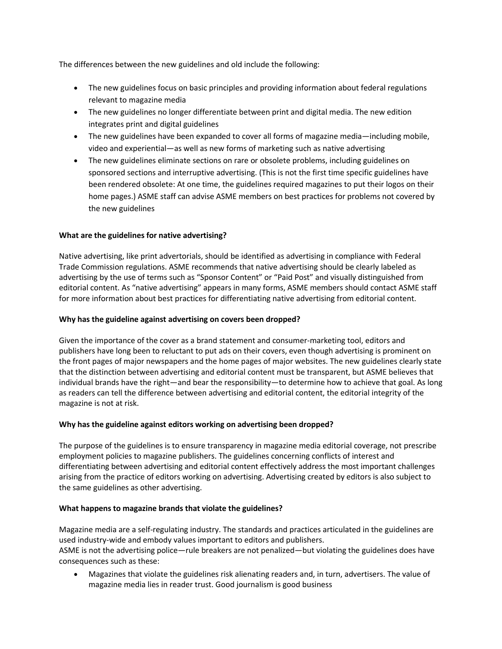The differences between the new guidelines and old include the following:

- The new guidelines focus on basic principles and providing information about federal regulations relevant to magazine media
- The new guidelines no longer differentiate between print and digital media. The new edition integrates print and digital guidelines
- The new guidelines have been expanded to cover all forms of magazine media—including mobile, video and experiential—as well as new forms of marketing such as native advertising
- The new guidelines eliminate sections on rare or obsolete problems, including guidelines on sponsored sections and interruptive advertising. (This is not the first time specific guidelines have been rendered obsolete: At one time, the guidelines required magazines to put their logos on their home pages.) ASME staff can advise ASME members on best practices for problems not covered by the new guidelines

# **What are the guidelines for native advertising?**

Native advertising, like print advertorials, should be identified as advertising in compliance with Federal Trade Commission regulations. ASME recommends that native advertising should be clearly labeled as advertising by the use of terms such as "Sponsor Content" or "Paid Post" and visually distinguished from editorial content. As "native advertising" appears in many forms, ASME members should contact ASME staff for more information about best practices for differentiating native advertising from editorial content.

## **Why has the guideline against advertising on covers been dropped?**

Given the importance of the cover as a brand statement and consumer-marketing tool, editors and publishers have long been to reluctant to put ads on their covers, even though advertising is prominent on the front pages of major newspapers and the home pages of major websites. The new guidelines clearly state that the distinction between advertising and editorial content must be transparent, but ASME believes that individual brands have the right—and bear the responsibility—to determine how to achieve that goal. As long as readers can tell the difference between advertising and editorial content, the editorial integrity of the magazine is not at risk.

# **Why has the guideline against editors working on advertising been dropped?**

The purpose of the guidelines is to ensure transparency in magazine media editorial coverage, not prescribe employment policies to magazine publishers. The guidelines concerning conflicts of interest and differentiating between advertising and editorial content effectively address the most important challenges arising from the practice of editors working on advertising. Advertising created by editors is also subject to the same guidelines as other advertising.

# **What happens to magazine brands that violate the guidelines?**

Magazine media are a self-regulating industry. The standards and practices articulated in the guidelines are used industry-wide and embody values important to editors and publishers. ASME is not the advertising police—rule breakers are not penalized—but violating the guidelines does have consequences such as these:

 Magazines that violate the guidelines risk alienating readers and, in turn, advertisers. The value of magazine media lies in reader trust. Good journalism is good business